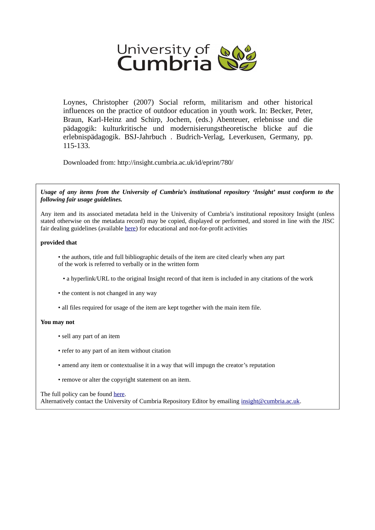

Loynes, Christopher (2007) Social reform, militarism and other historical influences on the practice of outdoor education in youth work. In: Becker, Peter, Braun, Karl-Heinz and Schirp, Jochem, (eds.) Abenteuer, erlebnisse und die pädagogik: kulturkritische und modernisierungstheoretische blicke auf die erlebnispädagogik. BSJ-Jahrbuch . Budrich-Verlag, Leverkusen, Germany, pp. 115-133.

Downloaded from: http://insight.cumbria.ac.uk/id/eprint/780/

*Usage of any items from the University of Cumbria's institutional repository 'Insight' must conform to the following fair usage guidelines.*

Any item and its associated metadata held in the University of Cumbria's institutional repository Insight (unless stated otherwise on the metadata record) may be copied, displayed or performed, and stored in line with the JISC fair dealing guidelines (available [here\)](http://www.ukoln.ac.uk/services/elib/papers/pa/fair/) for educational and not-for-profit activities

#### **provided that**

• the authors, title and full bibliographic details of the item are cited clearly when any part of the work is referred to verbally or in the written form

• a hyperlink/URL to the original Insight record of that item is included in any citations of the work

• the content is not changed in any way

• all files required for usage of the item are kept together with the main item file.

#### **You may not**

- sell any part of an item
- refer to any part of an item without citation
- amend any item or contextualise it in a way that will impugn the creator's reputation
- remove or alter the copyright statement on an item.

The full policy can be found [here.](http://insight.cumbria.ac.uk/legal.html#section5)

Alternatively contact the University of Cumbria Repository Editor by emailing [insight@cumbria.ac.uk.](mailto:insight@cumbria.ac.uk)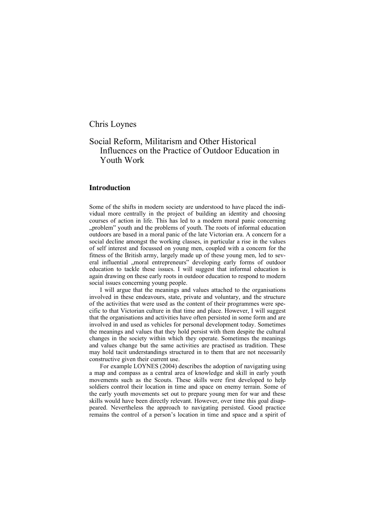Chris Loynes

# Social Reform, Militarism and Other Historical Influences on the Practice of Outdoor Education in Youth Work

## **Introduction**

Some of the shifts in modern society are understood to have placed the individual more centrally in the project of building an identity and choosing courses of action in life. This has led to a modern moral panic concerning "problem" youth and the problems of youth. The roots of informal education outdoors are based in a moral panic of the late Victorian era. A concern for a social decline amongst the working classes, in particular a rise in the values of self interest and focussed on young men, coupled with a concern for the fitness of the British army, largely made up of these young men, led to several influential "moral entrepreneurs" developing early forms of outdoor education to tackle these issues. I will suggest that informal education is again drawing on these early roots in outdoor education to respond to modern social issues concerning young people.

I will argue that the meanings and values attached to the organisations involved in these endeavours, state, private and voluntary, and the structure of the activities that were used as the content of their programmes were specific to that Victorian culture in that time and place. However, I will suggest that the organisations and activities have often persisted in some form and are involved in and used as vehicles for personal development today. Sometimes the meanings and values that they hold persist with them despite the cultural changes in the society within which they operate. Sometimes the meanings and values change but the same activities are practised as tradition. These may hold tacit understandings structured in to them that are not necessarily constructive given their current use.

For example LOYNES (2004) describes the adoption of navigating using a map and compass as a central area of knowledge and skill in early youth movements such as the Scouts. These skills were first developed to help soldiers control their location in time and space on enemy terrain. Some of the early youth movements set out to prepare young men for war and these skills would have been directly relevant. However, over time this goal disappeared. Nevertheless the approach to navigating persisted. Good practice remains the control of a person's location in time and space and a spirit of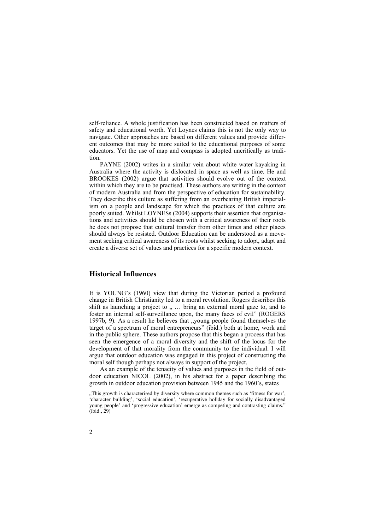self-reliance. A whole justification has been constructed based on matters of safety and educational worth. Yet Loynes claims this is not the only way to navigate. Other approaches are based on different values and provide different outcomes that may be more suited to the educational purposes of some educators. Yet the use of map and compass is adopted uncritically as tradition.

PAYNE (2002) writes in a similar vein about white water kayaking in Australia where the activity is dislocated in space as well as time. He and BROOKES (2002) argue that activities should evolve out of the context within which they are to be practised. These authors are writing in the context of modern Australia and from the perspective of education for sustainability. They describe this culture as suffering from an overbearing British imperialism on a people and landscape for which the practices of that culture are poorly suited. Whilst LOYNESs (2004) supports their assertion that organisations and activities should be chosen with a critical awareness of their roots he does not propose that cultural transfer from other times and other places should always be resisted. Outdoor Education can be understood as a movement seeking critical awareness of its roots whilst seeking to adopt, adapt and create a diverse set of values and practices for a specific modern context.

## **Historical Influences**

It is YOUNG's (1960) view that during the Victorian period a profound change in British Christianity led to a moral revolution. Rogers describes this shift as launching a project to  $, \ldots$  bring an external moral gaze to, and to foster an internal self-surveillance upon, the many faces of evil" (ROGERS 1997b, 9). As a result he believes that "young people found themselves the target of a spectrum of moral entrepreneurs" (ibid.) both at home, work and in the public sphere. These authors propose that this began a process that has seen the emergence of a moral diversity and the shift of the locus for the development of that morality from the community to the individual. I will argue that outdoor education was engaged in this project of constructing the moral self though perhaps not always in support of the project.

As an example of the tenacity of values and purposes in the field of outdoor education NICOL (2002), in his abstract for a paper describing the growth in outdoor education provision between 1945 and the 1960's, states

<sup>&</sup>quot;This growth is characterised by diversity where common themes such as 'fitness for war', 'character building', 'social education', 'recuperative holiday for socially disadvantaged young people' and 'progressive education' emerge as competing and contrasting claims." (ibid., 29)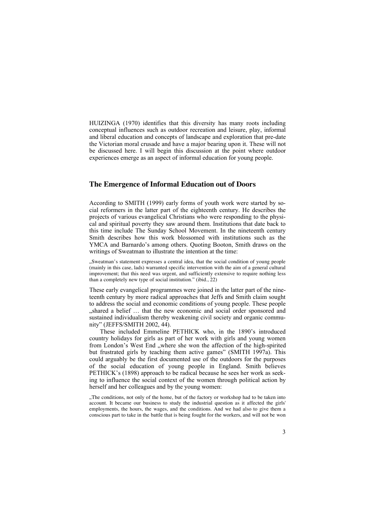HUIZINGA (1970) identifies that this diversity has many roots including conceptual influences such as outdoor recreation and leisure, play, informal and liberal education and concepts of landscape and exploration that pre-date the Victorian moral crusade and have a major bearing upon it. These will not be discussed here. I will begin this discussion at the point where outdoor experiences emerge as an aspect of informal education for young people.

# **The Emergence of Informal Education out of Doors**

According to SMITH (1999) early forms of youth work were started by social reformers in the latter part of the eighteenth century. He describes the projects of various evangelical Christians who were responding to the physical and spiritual poverty they saw around them. Institutions that date back to this time include The Sunday School Movement. In the nineteenth century Smith describes how this work blossomed with institutions such as the YMCA and Barnardo's among others. Quoting Booton, Smith draws on the writings of Sweatman to illustrate the intention at the time:

"Sweatman's statement expresses a central idea, that the social condition of young people (mainly in this case, lads) warranted specific intervention with the aim of a general cultural improvement; that this need was urgent, and sufficiently extensive to require nothing less than a completely new type of social institution." (ibid., 22)

These early evangelical programmes were joined in the latter part of the nineteenth century by more radical approaches that Jeffs and Smith claim sought to address the social and economic conditions of young people. These people shared a belief ... that the new economic and social order sponsored and sustained individualism thereby weakening civil society and organic community" (JEFFS/SMITH 2002, 44).

These included Emmeline PETHICK who, in the 1890's introduced country holidays for girls as part of her work with girls and young women from London's West End "where she won the affection of the high-spirited but frustrated girls by teaching them active games" (SMITH 1997a). This could arguably be the first documented use of the outdoors for the purposes of the social education of young people in England. Smith believes PETHICK's (1898) approach to be radical because he sees her work as seeking to influence the social context of the women through political action by herself and her colleagues and by the young women:

"The conditions, not only of the home, but of the factory or workshop had to be taken into account. It became our business to study the industrial question as it affected the girls' employments, the hours, the wages, and the conditions. And we had also to give them a conscious part to take in the battle that is being fought for the workers, and will not be won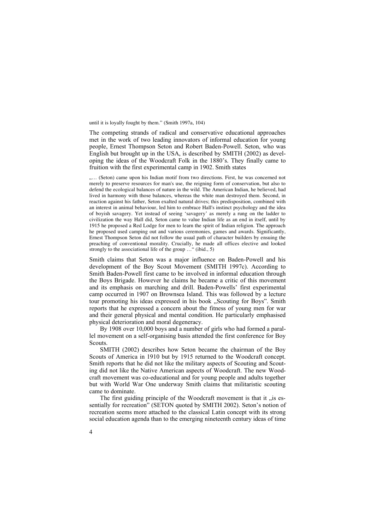until it is loyally fought by them." (Smith 1997a, 104)

The competing strands of radical and conservative educational approaches met in the work of two leading innovators of informal education for young people, Ernest Thompson Seton and Robert Baden-Powell. Seton, who was English but brought up in the USA, is described by SMITH (2002) as developing the ideas of the Woodcraft Folk in the 1880's. They finally came to fruition with the first experimental camp in 1902. Smith states

"... (Seton) came upon his Indian motif from two directions. First, he was concerned not merely to preserve resources for man's use, the reigning form of conservation, but also to defend the ecological balances of nature in the wild. The American Indian, he believed, had lived in harmony with those balances, whereas the white man destroyed them. Second, in reaction against his father, Seton exalted natural drives; this predisposition, combined with an interest in animal behaviour, led him to embrace Hall's instinct psychology and the idea of boyish savagery. Yet instead of seeing 'savagery' as merely a rung on the ladder to civilization the way Hall did, Seton came to value Indian life as an end in itself, until by 1915 he proposed a Red Lodge for men to learn the spirit of Indian religion. The approach he proposed used camping out and various ceremonies, games and awards. Significantly, Ernest Thompson Seton did not follow the usual path of character builders by ensuing the preaching of conventional morality. Crucially, he made all offices elective and looked strongly to the associational life of the group ..." (ibid., 5)

Smith claims that Seton was a major influence on Baden-Powell and his development of the Boy Scout Movement (SMITH 1997c). According to Smith Baden-Powell first came to be involved in informal education through the Boys Brigade. However he claims he became a critic of this movement and its emphasis on marching and drill. Baden-Powells' first experimental camp occurred in 1907 on Brownsea Island. This was followed by a lecture tour promoting his ideas expressed in his book "Scouting for Boys". Smith reports that he expressed a concern about the fitness of young men for war and their general physical and mental condition. He particularly emphasised physical deterioration and moral degeneracy.

By 1908 over 10,000 boys and a number of girls who had formed a parallel movement on a self-organising basis attended the first conference for Boy Scouts.

SMITH (2002) describes how Seton became the chairman of the Boy Scouts of America in 1910 but by 1915 returned to the Woodcraft concept. Smith reports that he did not like the military aspects of Scouting and Scouting did not like the Native American aspects of Woodcraft. The new Woodcraft movement was co-educational and for young people and adults together but with World War One underway Smith claims that militaristic scouting came to dominate.

The first guiding principle of the Woodcraft movement is that it  $\mu$  is essentially for recreation" (SETON quoted by SMITH 2002). Seton's notion of recreation seems more attached to the classical Latin concept with its strong social education agenda than to the emerging nineteenth century ideas of time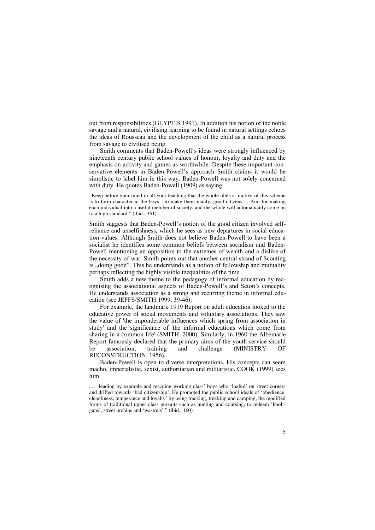out from responsibilities (GLYPTIS 1991). In addition his notion of the noble savage and a natural, civilising learning to be found in natural settings echoes the ideas of Rousseau and the development of the child as a natural process from savage to civilised being.

Smith comments that Baden-Powell's ideas were strongly influenced by nineteenth century public school values of honour, loyalty and duty and the emphasis on activity and games as worthwhile. Despite these important conservative elements in Baden-Powell's approach Smith claims it would be simplistic to label him in this way. Baden-Powell was not solely concerned with duty. He quotes Baden-Powell (1909) as saying

"Keep before your mind in all your teaching that the whole ulterior motive of this scheme is to form character in the boys - to make them manly, good citizens ... Aim for making each individual into a useful member of society, and the whole will automatically come on to a high standard." (ibid., 361)

Smith suggests that Baden-Powell's notion of the good citizen involved selfreliance and unselfishness, which he sees as new departures in social education values. Although Smith does not believe Baden-Powell to have been a socialist he identifies some common beliefs between socialism and Baden-Powell mentioning an opposition to the extremes of wealth and a dislike of the necessity of war. Smith points out that another central strand of Scouting is ", doing good". This he understands as a notion of fellowship and mutuality perhaps reflecting the highly visible inequalities of the time.

Smith adds a new theme to the pedagogy of informal education by recognising the associational aspects of Baden-Powell's and Seton's concepts. He understands association as a strong and recurring theme in informal education (see JEFFS/SMITH 1999, 39-46):

For example, the landmark 1919 Report on adult education looked to the educative power of social movements and voluntary associations. They saw the value of 'the imponderable influences which spring from association in study' and the significance of 'the informal educations which come from sharing in a common life' (SMITH, 2000). Similarly, in 1960 the Albemarle Report famously declared that the primary aims of the youth service should<br>be association, training and challenge (MINISTRY OF be association, training and challenge (MINISTRY OF RECONSTRUCTION, 1956).

Baden-Powell is open to diverse interpretations. His concepts can seem macho, imperialistic, sexist, authoritarian and militaristic. COOK (1999) sees him

<sup>&</sup>quot;.... leading by example and rescuing working class' boys who 'loafed' on street corners and drifted towards 'bad citizenship'. He promoted the public school ideals of 'obedience, cleanliness, temperance and loyalty' by using tracking, trekking and camping, the modified forms of traditional upper class pursuits such as hunting and coursing, to redeem 'hooligans', street urchins and 'wastrels'." (ibid., 160)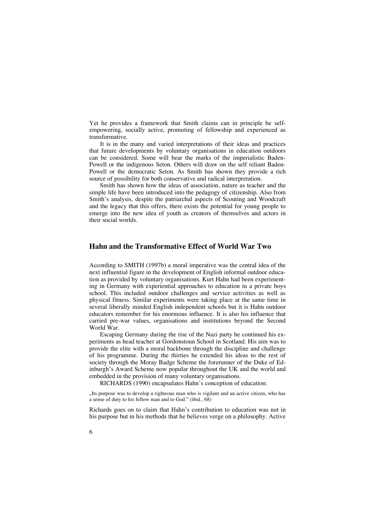Yet he provides a framework that Smith claims can in principle be selfempowering, socially active, promoting of fellowship and experienced as transformative.

It is in the many and varied interpretations of their ideas and practices that future developments by voluntary organisations in education outdoors can be considered. Some will bear the marks of the imperialistic Baden-Powell or the indigenous Seton. Others will draw on the self reliant Baden-Powell or the democratic Seton. As Smith has shown they provide a rich source of possibility for both conservative and radical interpretation.

Smith has shown how the ideas of association, nature as teacher and the simple life have been introduced into the pedagogy of citizenship. Also from Smith's analysis, despite the patriarchal aspects of Scouting and Woodcraft and the legacy that this offers, there exists the potential for young people to emerge into the new idea of youth as creators of themselves and actors in their social worlds.

#### **Hahn and the Transformative Effect of World War Two**

According to SMITH (1997b) a moral imperative was the central idea of the next influential figure in the development of English informal outdoor education as provided by voluntary organisations. Kurt Hahn had been experimenting in Germany with experiential approaches to education in a private boys school. This included outdoor challenges and service activities as well as physical fitness. Similar experiments were taking place at the same time in several liberally minded English independent schools but it is Hahn outdoor educators remember for his enormous influence. It is also his influence that carried pre-war values, organisations and institutions beyond the Second World War.

Escaping Germany during the rise of the Nazi party he continued his experiments as head teacher at Gordonstoun School in Scotland. His aim was to provide the elite with a moral backbone through the discipline and challenge of his programme. During the thirties he extended his ideas to the rest of society through the Moray Badge Scheme the forerunner of the Duke of Edinburgh's Award Scheme now popular throughout the UK and the world and embedded in the provision of many voluntary organisations.

RICHARDS (1990) encapsulates Hahn's conception of education:

"Its purpose was to develop a righteous man who is vigilant and an active citizen, who has a sense of duty to his fellow man and to God." (ibid., 68)

Richards goes on to claim that Hahn's contribution to education was not in his purpose but in his methods that he believes verge on a philosophy. Active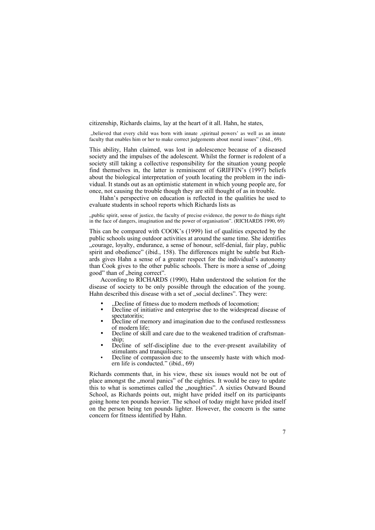citizenship, Richards claims, lay at the heart of it all. Hahn, he states,

"believed that every child was born with innate ,spiritual powers' as well as an innate faculty that enables him or her to make correct judgements about moral issues" (ibid., 69).

This ability, Hahn claimed, was lost in adolescence because of a diseased society and the impulses of the adolescent. Whilst the former is redolent of a society still taking a collective responsibility for the situation young people find themselves in, the latter is reminiscent of GRIFFIN's (1997) beliefs about the biological interpretation of youth locating the problem in the individual. It stands out as an optimistic statement in which young people are, for once, not causing the trouble though they are still thought of as in trouble.

Hahn's perspective on education is reflected in the qualities he used to evaluate students in school reports which Richards lists as

"public spirit, sense of justice, the faculty of precise evidence, the power to do things right in the face of dangers, imagination and the power of organisation". (RICHARDS 1990, 69)

This can be compared with COOK's (1999) list of qualities expected by the public schools using outdoor activities at around the same time. She identifies ....courage, loyalty, endurance, a sense of honour, self-denial, fair play, public spirit and obedience" (ibid., 158). The differences might be subtle but Richards gives Hahn a sense of a greater respect for the individual's autonomy than Cook gives to the other public schools. There is more a sense of  $\alpha$  doing good" than of "being correct".

According to RICHARDS (1990), Hahn understood the solution for the disease of society to be only possible through the education of the young. Hahn described this disease with a set of "social declines". They were:

- 
- "Decline of fitness due to modern methods of locomotion; Decline of initiative and enterprise due to the widespread disease of
- Decline of memory and imagination due to the confused restlessness of modern life;
- Decline of skill and care due to the weakened tradition of craftsman-<br>ship;
- Decline of self-discipline due to the ever-present availability of stimulants and tranquilisers;
- Decline of compassion due to the unseemly haste with which modern life is conducted." (ibid., 69)

Richards comments that, in his view, these six issues would not be out of place amongst the "moral panics" of the eighties. It would be easy to update this to what is sometimes called the "noughties". A sixties Outward Bound School, as Richards points out, might have prided itself on its participants going home ten pounds heavier. The school of today might have prided itself on the person being ten pounds lighter. However, the concern is the same concern for fitness identified by Hahn.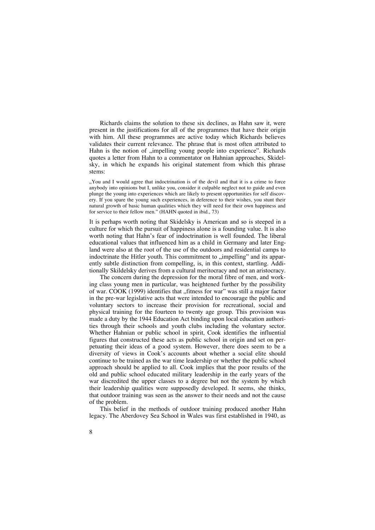Richards claims the solution to these six declines, as Hahn saw it, were present in the justifications for all of the programmes that have their origin with him. All these programmes are active today which Richards believes validates their current relevance. The phrase that is most often attributed to Hahn is the notion of "impelling young people into experience". Richards quotes a letter from Hahn to a commentator on Hahnian approaches, Skidelsky, in which he expands his original statement from which this phrase stems:

"You and I would agree that indoctrination is of the devil and that it is a crime to force anybody into opinions but I, unlike you, consider it culpable neglect not to guide and even plunge the young into experiences which are likely to present opportunities for self discovery. If you spare the young such experiences, in deference to their wishes, you stunt their natural growth of basic human qualities which they will need for their own happiness and for service to their fellow men." (HAHN quoted in ibid., 73)

It is perhaps worth noting that Skidelsky is American and so is steeped in a culture for which the pursuit of happiness alone is a founding value. It is also worth noting that Hahn's fear of indoctrination is well founded. The liberal educational values that influenced him as a child in Germany and later England were also at the root of the use of the outdoors and residential camps to indoctrinate the Hitler youth. This commitment to "impelling" and its apparently subtle distinction from compelling, is, in this context, startling. Additionally Skildelsky derives from a cultural meritocracy and not an aristocracy.

The concern during the depression for the moral fibre of men, and working class young men in particular, was heightened further by the possibility of war. COOK (1999) identifies that "fitness for war" was still a major factor in the pre-war legislative acts that were intended to encourage the public and voluntary sectors to increase their provision for recreational, social and physical training for the fourteen to twenty age group. This provision was made a duty by the 1944 Education Act binding upon local education authorities through their schools and youth clubs including the voluntary sector. Whether Hahnian or public school in spirit, Cook identifies the influential figures that constructed these acts as public school in origin and set on perpetuating their ideas of a good system. However, there does seem to be a diversity of views in Cook's accounts about whether a social elite should continue to be trained as the war time leadership or whether the public school approach should be applied to all. Cook implies that the poor results of the old and public school educated military leadership in the early years of the war discredited the upper classes to a degree but not the system by which their leadership qualities were supposedly developed. It seems, she thinks, that outdoor training was seen as the answer to their needs and not the cause of the problem.

This belief in the methods of outdoor training produced another Hahn legacy. The Aberdovey Sea School in Wales was first established in 1940, as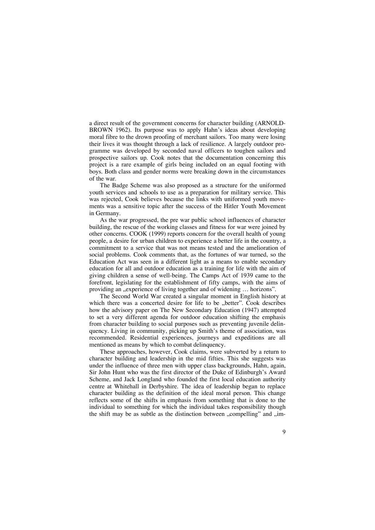a direct result of the government concerns for character building (ARNOLD-BROWN 1962). Its purpose was to apply Hahn's ideas about developing moral fibre to the drown proofing of merchant sailors. Too many were losing their lives it was thought through a lack of resilience. A largely outdoor programme was developed by seconded naval officers to toughen sailors and prospective sailors up. Cook notes that the documentation concerning this project is a rare example of girls being included on an equal footing with boys. Both class and gender norms were breaking down in the circumstances of the war.

The Badge Scheme was also proposed as a structure for the uniformed youth services and schools to use as a preparation for military service. This was rejected, Cook believes because the links with uniformed youth movements was a sensitive topic after the success of the Hitler Youth Movement in Germany.

As the war progressed, the pre war public school influences of character building, the rescue of the working classes and fitness for war were joined by other concerns. COOK (1999) reports concern for the overall health of young people, a desire for urban children to experience a better life in the country, a commitment to a service that was not means tested and the amelioration of social problems. Cook comments that, as the fortunes of war turned, so the Education Act was seen in a different light as a means to enable secondary education for all and outdoor education as a training for life with the aim of giving children a sense of well-being. The Camps Act of 1939 came to the forefront, legislating for the establishment of fifty camps, with the aims of providing an "experience of living together and of widening ... horizons".

The Second World War created a singular moment in English history at which there was a concerted desire for life to be "better". Cook describes how the advisory paper on The New Secondary Education (1947) attempted to set a very different agenda for outdoor education shifting the emphasis from character building to social purposes such as preventing juvenile delinquency. Living in community, picking up Smith's theme of association, was recommended. Residential experiences, journeys and expeditions are all mentioned as means by which to combat delinquency.

These approaches, however, Cook claims, were subverted by a return to character building and leadership in the mid fifties. This she suggests was under the influence of three men with upper class backgrounds, Hahn, again, Sir John Hunt who was the first director of the Duke of Edinburgh's Award Scheme, and Jack Longland who founded the first local education authority centre at Whitehall in Derbyshire. The idea of leadership began to replace character building as the definition of the ideal moral person. This change reflects some of the shifts in emphasis from something that is done to the individual to something for which the individual takes responsibility though the shift may be as subtle as the distinction between "compelling" and "im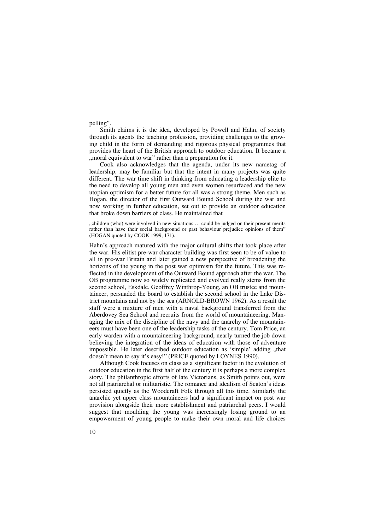pelling".

Smith claims it is the idea, developed by Powell and Hahn, of society through its agents the teaching profession, providing challenges to the growing child in the form of demanding and rigorous physical programmes that provides the heart of the British approach to outdoor education. It became a , moral equivalent to war" rather than a preparation for it.

Cook also acknowledges that the agenda, under its new nametag of leadership, may be familiar but that the intent in many projects was quite different. The war time shift in thinking from educating a leadership elite to the need to develop all young men and even women resurfaced and the new utopian optimism for a better future for all was a strong theme. Men such as Hogan, the director of the first Outward Bound School during the war and now working in further education, set out to provide an outdoor education that broke down barriers of class. He maintained that

"children (who) were involved in new situations … could be judged on their present merits rather than have their social background or past behaviour prejudice opinions of them" (HOGAN quoted by COOK 1999, 171).

Hahn's approach matured with the major cultural shifts that took place after the war. His elitist pre-war character building was first seen to be of value to all in pre-war Britain and later gained a new perspective of broadening the horizons of the young in the post war optimism for the future. This was reflected in the development of the Outward Bound approach after the war. The OB programme now so widely replicated and evolved really stems from the second school, Eskdale. Geoffrey Winthrop-Young, an OB trustee and mountaineer, persuaded the board to establish the second school in the Lake District mountains and not by the sea (ARNOLD-BROWN 1962). As a result the staff were a mixture of men with a naval background transferred from the Aberdovey Sea School and recruits from the world of mountaineering. Managing the mix of the discipline of the navy and the anarchy of the mountaineers must have been one of the leadership tasks of the century. Tom Price, an early warden with a mountaineering background, nearly turned the job down believing the integration of the ideas of education with those of adventure impossible. He later described outdoor education as 'simple' adding "that doesn't mean to say it's easy!" (PRICE quoted by LOYNES 1990).

Although Cook focuses on class as a significant factor in the evolution of outdoor education in the first half of the century it is perhaps a more complex story. The philanthropic efforts of late Victorians, as Smith points out, were not all patriarchal or militaristic. The romance and idealism of Seaton's ideas persisted quietly as the Woodcraft Folk through all this time. Similarly the anarchic yet upper class mountaineers had a significant impact on post war provision alongside their more establishment and patriarchal peers. I would suggest that moulding the young was increasingly losing ground to an empowerment of young people to make their own moral and life choices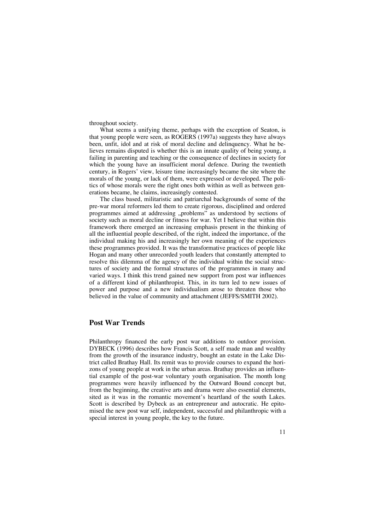throughout society.

What seems a unifying theme, perhaps with the exception of Seaton, is that young people were seen, as ROGERS (1997a) suggests they have always been, unfit, idol and at risk of moral decline and delinquency. What he believes remains disputed is whether this is an innate quality of being young, a failing in parenting and teaching or the consequence of declines in society for which the young have an insufficient moral defence. During the twentieth century, in Rogers' view, leisure time increasingly became the site where the morals of the young, or lack of them, were expressed or developed. The politics of whose morals were the right ones both within as well as between generations became, he claims, increasingly contested.

The class based, militaristic and patriarchal backgrounds of some of the pre-war moral reformers led them to create rigorous, disciplined and ordered programmes aimed at addressing "problems" as understood by sections of society such as moral decline or fitness for war. Yet I believe that within this framework there emerged an increasing emphasis present in the thinking of all the influential people described, of the right, indeed the importance, of the individual making his and increasingly her own meaning of the experiences these programmes provided. It was the transformative practices of people like Hogan and many other unrecorded youth leaders that constantly attempted to resolve this dilemma of the agency of the individual within the social structures of society and the formal structures of the programmes in many and varied ways. I think this trend gained new support from post war influences of a different kind of philanthropist. This, in its turn led to new issues of power and purpose and a new individualism arose to threaten those who believed in the value of community and attachment (JEFFS/SMITH 2002).

#### **Post War Trends**

Philanthropy financed the early post war additions to outdoor provision. DYBECK (1996) describes how Francis Scott, a self made man and wealthy from the growth of the insurance industry, bought an estate in the Lake District called Brathay Hall. Its remit was to provide courses to expand the horizons of young people at work in the urban areas. Brathay provides an influential example of the post-war voluntary youth organisation. The month long programmes were heavily influenced by the Outward Bound concept but, from the beginning, the creative arts and drama were also essential elements, sited as it was in the romantic movement's heartland of the south Lakes. Scott is described by Dybeck as an entrepreneur and autocratic. He epitomised the new post war self, independent, successful and philanthropic with a special interest in young people, the key to the future.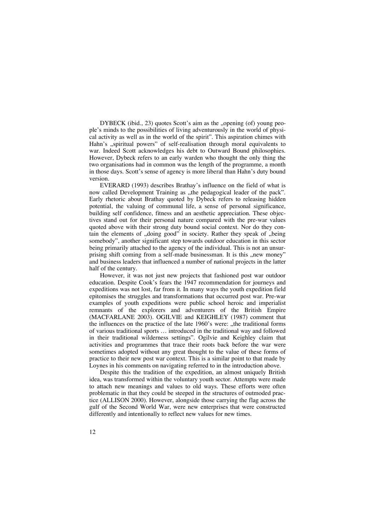DYBECK (ibid., 23) quotes Scott's aim as the "opening (of) young people's minds to the possibilities of living adventurously in the world of physical activity as well as in the world of the spirit". This aspiration chimes with Hahn's "spiritual powers" of self-realisation through moral equivalents to war. Indeed Scott acknowledges his debt to Outward Bound philosophies. However, Dybeck refers to an early warden who thought the only thing the two organisations had in common was the length of the programme, a month in those days. Scott's sense of agency is more liberal than Hahn's duty bound version.

EVERARD (1993) describes Brathay's influence on the field of what is now called Development Training as "the pedagogical leader of the pack". Early rhetoric about Brathay quoted by Dybeck refers to releasing hidden potential, the valuing of communal life, a sense of personal significance, building self confidence, fitness and an aesthetic appreciation. These objectives stand out for their personal nature compared with the pre-war values quoted above with their strong duty bound social context. Nor do they contain the elements of "doing good" in society. Rather they speak of "being somebody", another significant step towards outdoor education in this sector being primarily attached to the agency of the individual. This is not an unsurprising shift coming from a self-made businessman. It is this "new money" and business leaders that influenced a number of national projects in the latter half of the century.

However, it was not just new projects that fashioned post war outdoor education. Despite Cook's fears the 1947 recommendation for journeys and expeditions was not lost, far from it. In many ways the youth expedition field epitomises the struggles and transformations that occurred post war. Pre-war examples of youth expeditions were public school heroic and imperialist remnants of the explorers and adventurers of the British Empire (MACFARLANE 2003). OGILVIE and KEIGHLEY (1987) comment that the influences on the practice of the late 1960's were: "the traditional forms of various traditional sports … introduced in the traditional way and followed in their traditional wilderness settings". Ogilvie and Keighley claim that activities and programmes that trace their roots back before the war were sometimes adopted without any great thought to the value of these forms of practice to their new post war context. This is a similar point to that made by Loynes in his comments on navigating referred to in the introduction above.

Despite this the tradition of the expedition, an almost uniquely British idea, was transformed within the voluntary youth sector. Attempts were made to attach new meanings and values to old ways. These efforts were often problematic in that they could be steeped in the structures of outmoded practice (ALLISON 2000). However, alongside those carrying the flag across the gulf of the Second World War, were new enterprises that were constructed differently and intentionally to reflect new values for new times.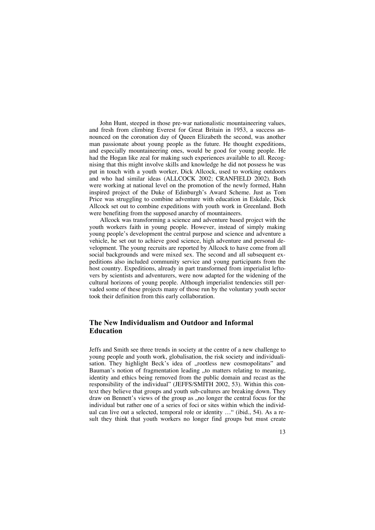John Hunt, steeped in those pre-war nationalistic mountaineering values, and fresh from climbing Everest for Great Britain in 1953, a success announced on the coronation day of Queen Elizabeth the second, was another man passionate about young people as the future. He thought expeditions, and especially mountaineering ones, would be good for young people. He had the Hogan like zeal for making such experiences available to all. Recognising that this might involve skills and knowledge he did not possess he was put in touch with a youth worker, Dick Allcock, used to working outdoors and who had similar ideas (ALLCOCK 2002; CRANFIELD 2002). Both were working at national level on the promotion of the newly formed, Hahn inspired project of the Duke of Edinburgh's Award Scheme. Just as Tom Price was struggling to combine adventure with education in Eskdale, Dick Allcock set out to combine expeditions with youth work in Greenland. Both were benefiting from the supposed anarchy of mountaineers.

Allcock was transforming a science and adventure based project with the youth workers faith in young people. However, instead of simply making young people's development the central purpose and science and adventure a vehicle, he set out to achieve good science, high adventure and personal development. The young recruits are reported by Allcock to have come from all social backgrounds and were mixed sex. The second and all subsequent expeditions also included community service and young participants from the host country. Expeditions, already in part transformed from imperialist leftovers by scientists and adventurers, were now adapted for the widening of the cultural horizons of young people. Although imperialist tendencies still pervaded some of these projects many of those run by the voluntary youth sector took their definition from this early collaboration.

# **The New Individualism and Outdoor and Informal Education**

Jeffs and Smith see three trends in society at the centre of a new challenge to young people and youth work, globalisation, the risk society and individualisation. They highlight Beck's idea of "rootless new cosmopolitans" and Bauman's notion of fragmentation leading "to matters relating to meaning, identity and ethics being removed from the public domain and recast as the responsibility of the individual" (JEFFS/SMITH 2002, 53). Within this context they believe that groups and youth sub-cultures are breaking down. They draw on Bennett's views of the group as , no longer the central focus for the individual but rather one of a series of foci or sites within which the individual can live out a selected, temporal role or identity …" (ibid., 54). As a result they think that youth workers no longer find groups but must create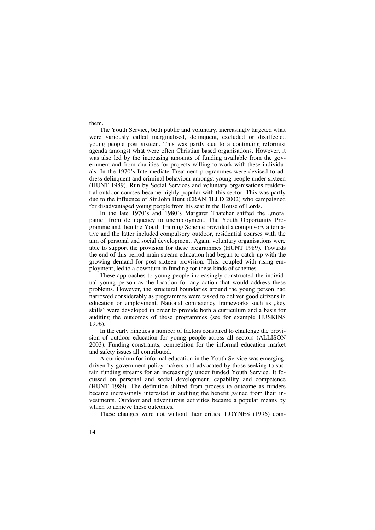them.

The Youth Service, both public and voluntary, increasingly targeted what were variously called marginalised, delinquent, excluded or disaffected young people post sixteen. This was partly due to a continuing reformist agenda amongst what were often Christian based organisations. However, it was also led by the increasing amounts of funding available from the government and from charities for projects willing to work with these individuals. In the 1970's Intermediate Treatment programmes were devised to address delinquent and criminal behaviour amongst young people under sixteen (HUNT 1989). Run by Social Services and voluntary organisations residential outdoor courses became highly popular with this sector. This was partly due to the influence of Sir John Hunt (CRANFIELD 2002) who campaigned for disadvantaged young people from his seat in the House of Lords.

In the late 1970's and 1980's Margaret Thatcher shifted the "moral panic" from delinquency to unemployment. The Youth Opportunity Programme and then the Youth Training Scheme provided a compulsory alternative and the latter included compulsory outdoor, residential courses with the aim of personal and social development. Again, voluntary organisations were able to support the provision for these programmes (HUNT 1989). Towards the end of this period main stream education had begun to catch up with the growing demand for post sixteen provision. This, coupled with rising employment, led to a downturn in funding for these kinds of schemes.

These approaches to young people increasingly constructed the individual young person as the location for any action that would address these problems. However, the structural boundaries around the young person had narrowed considerably as programmes were tasked to deliver good citizens in education or employment. National competency frameworks such as "key skills" were developed in order to provide both a curriculum and a basis for auditing the outcomes of these programmes (see for example HUSKINS 1996).

In the early nineties a number of factors conspired to challenge the provision of outdoor education for young people across all sectors (ALLISON 2003). Funding constraints, competition for the informal education market and safety issues all contributed.

A curriculum for informal education in the Youth Service was emerging, driven by government policy makers and advocated by those seeking to sustain funding streams for an increasingly under funded Youth Service. It focussed on personal and social development, capability and competence (HUNT 1989). The definition shifted from process to outcome as funders became increasingly interested in auditing the benefit gained from their investments. Outdoor and adventurous activities became a popular means by which to achieve these outcomes.

These changes were not without their critics. LOYNES (1996) com-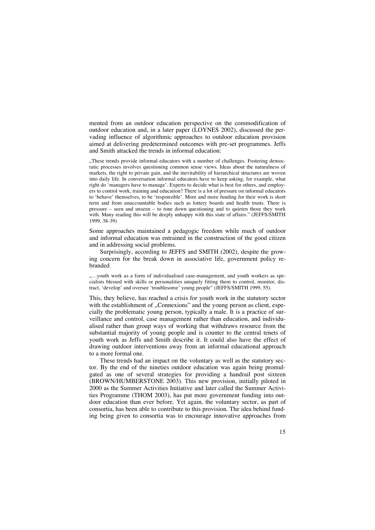mented from an outdoor education perspective on the commodification of outdoor education and, in a later paper (LOYNES 2002), discussed the pervading influence of algorithmic approaches to outdoor education provision aimed at delivering predetermined outcomes with pre-set programmes. Jeffs and Smith attacked the trends in informal education:

"These trends provide informal educators with a number of challenges. Fostering democratic processes involves questioning common sense views. Ideas about the naturalness of markets, the right to private gain, and the inevitability of hierarchical structures are woven into daily life. In conversation informal educators have to keep asking, for example, what right do 'managers have to manage'. Experts to decide what is best for others, and employers to control work, training and education? There is a lot of pressure on informal educators to 'behave' themselves, to be 'responsible'. More and more funding for their work is short term and from unaccountable bodies such as lottery boards and health trusts. There is pressure – seen and unseen – to tone down questioning and to quieten those they work with. Many reading this will be deeply unhappy with this state of affairs." (JEFFS/SMITH 1999, 38-39)

Some approaches maintained a pedagogic freedom while much of outdoor and informal education was entrained in the construction of the good citizen and in addressing social problems.

Surprisingly, according to JEFFS and SMITH (2002), despite the growing concern for the break down in associative life, government policy rebranded

....youth work as a form of individualised case-management, and youth workers as specialists blessed with skills or personalities uniquely fitting them to control, monitor, distract, 'develop' and oversee 'troublesome' young people" (JEFFS/SMITH 1999, 55).

This, they believe, has reached a crisis for youth work in the statutory sector with the establishment of "Connexions" and the young person as client, especially the problematic young person, typically a male. It is a practice of surveillance and control, case management rather than education, and individualised rather than group ways of working that withdraws resource from the substantial majority of young people and is counter to the central tenets of youth work as Jeffs and Smith describe it. It could also have the effect of drawing outdoor interventions away from an informal educational approach to a more formal one.

These trends had an impact on the voluntary as well as the statutory sector. By the end of the nineties outdoor education was again being promulgated as one of several strategies for providing a handrail post sixteen (BROWN/HUMBERSTONE 2003). This new provision, initially piloted in 2000 as the Summer Activities Initiative and later called the Summer Activities Programme (THOM 2003), has put more government funding into outdoor education than ever before. Yet again, the voluntary sector, as part of consortia, has been able to contribute to this provision. The idea behind funding being given to consortia was to encourage innovative approaches from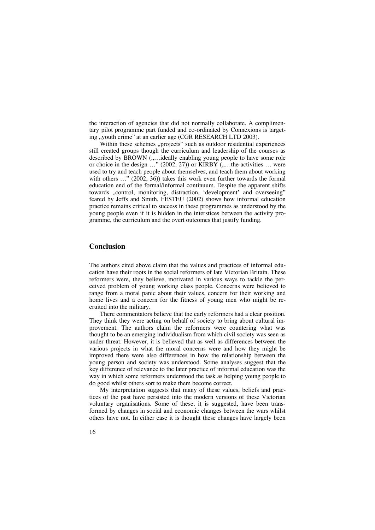the interaction of agencies that did not normally collaborate. A complimentary pilot programme part funded and co-ordinated by Connexions is targeting "youth crime" at an earlier age (CGR RESEARCH LTD 2003).

Within these schemes "projects" such as outdoor residential experiences still created groups though the curriculum and leadership of the courses as described by BROWN (,....ideally enabling young people to have some role or choice in the design  $\ldots$ " (2002, 27)) or KIRBY  $\ldots$  the activities  $\ldots$  were used to try and teach people about themselves, and teach them about working with others ..." (2002, 36)) takes this work even further towards the formal education end of the formal/informal continuum. Despite the apparent shifts towards ..control, monitoring, distraction, 'development' and overseeing" feared by Jeffs and Smith, FESTEU (2002) shows how informal education practice remains critical to success in these programmes as understood by the young people even if it is hidden in the interstices between the activity programme, the curriculum and the overt outcomes that justify funding.

## **Conclusion**

The authors cited above claim that the values and practices of informal education have their roots in the social reformers of late Victorian Britain. These reformers were, they believe, motivated in various ways to tackle the perceived problem of young working class people. Concerns were believed to range from a moral panic about their values, concern for their working and home lives and a concern for the fitness of young men who might be recruited into the military.

There commentators believe that the early reformers had a clear position. They think they were acting on behalf of society to bring about cultural improvement. The authors claim the reformers were countering what was thought to be an emerging individualism from which civil society was seen as under threat. However, it is believed that as well as differences between the various projects in what the moral concerns were and how they might be improved there were also differences in how the relationship between the young person and society was understood. Some analyses suggest that the key difference of relevance to the later practice of informal education was the way in which some reformers understood the task as helping young people to do good whilst others sort to make them become correct.

My interpretation suggests that many of these values, beliefs and practices of the past have persisted into the modern versions of these Victorian voluntary organisations. Some of these, it is suggested, have been transformed by changes in social and economic changes between the wars whilst others have not. In either case it is thought these changes have largely been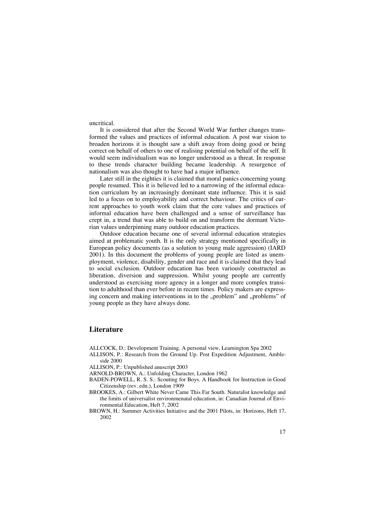uncritical.

It is considered that after the Second World War further changes transformed the values and practices of informal education. A post war vision to broaden horizons it is thought saw a shift away from doing good or being correct on behalf of others to one of realising potential on behalf of the self. It would seem individualism was no longer understood as a threat. In response to these trends character building became leadership. A resurgence of nationalism was also thought to have had a major influence.

Later still in the eighties it is claimed that moral panics concerning young people resumed. This it is believed led to a narrowing of the informal education curriculum by an increasingly dominant state influence. This it is said led to a focus on to employability and correct behaviour. The critics of current approaches to youth work claim that the core values and practices of informal education have been challenged and a sense of surveillance has crept in, a trend that was able to build on and transform the dormant Victorian values underpinning many outdoor education practices.

Outdoor education became one of several informal education strategies aimed at problematic youth. It is the only strategy mentioned specifically in European policy documents (as a solution to young male aggression) (IARD 2001). In this document the problems of young people are listed as unemployment, violence, disability, gender and race and it is claimed that they lead to social exclusion. Outdoor education has been variously constructed as liberation, diversion and suppression. Whilst young people are currently understood as exercising more agency in a longer and more complex transition to adulthood than ever before in recent times. Policy makers are expressing concern and making interventions in to the "problem" and "problems" of young people as they have always done.

## **Literature**

- ALLCOCK, D.: Development Training. A personal view, Leamington Spa 2002
- ALLISON, P.: Research from the Ground Up. Post Expedition Adjustment, Ambleside 2000

ALLISON, P.: Unpublished anuscript 2003

- ARNOLD-BROWN, A.: Unfolding Character, London 1962
- BADEN-POWELL, R. S. S.: Scouting for Boys. A Handbook for Instruction in Good Citizenship (rev. edn.), London 1909
- BROOKES, A.: Gilbert White Never Came This Far South. Naturalist knowledge and the limits of universalist environmenatal education, in: Canadian Journal of Environmental Education, Heft 7, 2002
- BROWN, H.: Summer Activities Initiative and the 2001 Pilots, in: Horizons, Heft 17, 2002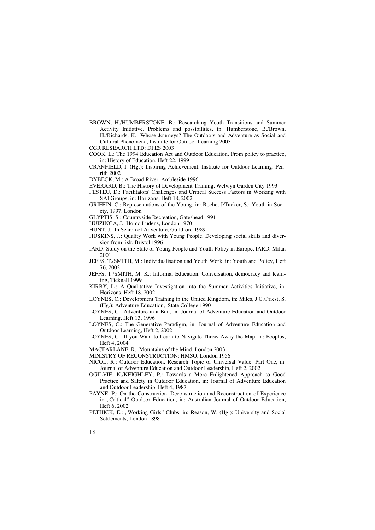- BROWN, H./HUMBERSTONE, B.: Researching Youth Transitions and Summer Activity Initiative. Problems and possibilities, in: Humberstone, B./Brown, H./Richards, K.: Whose Journeys? The Outdoors and Adventure as Social and Cultural Phenomena, Institute for Outdoor Learning 2003
- CGR RESEARCH LTD: DFES 2003
- COOK, L.: The 1994 Education Act and Outdoor Education. From policy to practice, in: History of Education, Heft 22, 1999
- CRANFIELD, I. (Hg.): Inspiring Achievement, Institute for Outdoor Learning, Penrith 2002
- DYBECK, M.: A Broad River, Ambleside 1996
- EVERARD, B.: The History of Development Training, Welwyn Garden City 1993
- FESTEU, D.: Facilitators' Challenges and Critical Success Factors in Working with SAI Groups, in: Horizons, Heft 18, 2002
- GRIFFIN, C.: Representations of the Young, in: Roche, J/Tucker, S.: Youth in Society, 1997, London
- GLYPTIS, S.: Countryside Recreation, Gateshead 1991
- HUIZINGA, J.: Homo Ludens, London 1970
- HUNT, J.: In Search of Adventure, Guildford 1989
- HUSKINS, J.: Quality Work with Young People. Developing social skills and diversion from risk, Bristol 1996
- IARD: Study on the State of Young People and Youth Policy in Europe, IARD, Milan 2001
- JEFFS, T./SMITH, M.: Individualisation and Youth Work, in: Youth and Policy, Heft 76, 2002
- JEFFS, T./SMITH, M. K.: Informal Education. Conversation, democracy and learning, Ticknall 1999
- KIRBY, L.: A Qualitative Investigation into the Summer Activities Initiative, in: Horizons, Heft 18, 2002
- LOYNES, C.: Development Training in the United Kingdom, in: Miles, J.C./Priest, S. (Hg.): Adventure Education, State College 1990
- LOYNES, C.: Adventure in a Bun, in: Journal of Adventure Education and Outdoor Learning, Heft 13, 1996
- LOYNES, C.: The Generative Paradigm, in: Journal of Adventure Education and Outdoor Learning, Heft 2, 2002
- LOYNES, C.: If you Want to Learn to Navigate Throw Away the Map, in: Ecoplus, Heft 4, 2004
- MACFARLANE, R.: Mountains of the Mind, London 2003
- MINISTRY OF RECONSTRUCTION: HMSO, London 1956
- NICOL, R.: Outdoor Education. Research Topic or Universal Value. Part One, in: Journal of Adventure Education and Outdoor Leadership, Heft 2, 2002
- OGILVIE, K./KEIGHLEY, P.: Towards a More Enlightened Approach to Good Practice and Safety in Outdoor Education, in: Journal of Adventure Education and Outdoor Leadership, Heft 4, 1987
- PAYNE, P.: On the Construction, Deconstruction and Reconstruction of Experience in "Critical" Outdoor Education, in: Australian Journal of Outdoor Education, Heft 6, 2002
- PETHICK, E.: "Working Girls" Clubs, in: Reason, W. (Hg.): University and Social Settlements, London 1898